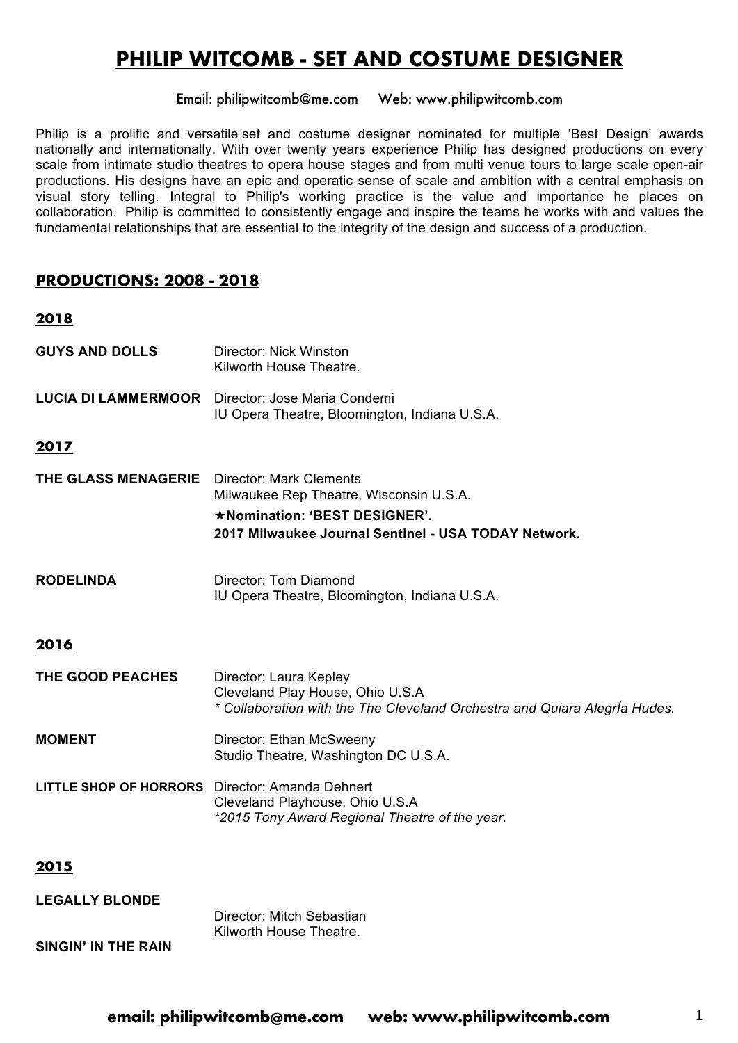## **PHILIP WITCOMB - SET AND COSTUME DESIGNER**

Email: philipwitcomb@me.com Web: www.philipwitcomb.com

Philip is a prolific and versatile set and costume designer nominated for multiple 'Best Design' awards nationally and internationally. With over twenty years experience Philip has designed productions on every scale from intimate studio theatres to opera house stages and from multi venue tours to large scale open-air productions. His designs have an epic and operatic sense of scale and ambition with a central emphasis on visual story telling. Integral to Philip's working practice is the value and importance he places on collaboration. Philip is committed to consistently engage and inspire the teams he works with and values the fundamental relationships that are essential to the integrity of the design and success of a production.

#### **PRODUCTIONS: 2008 - 2018**

# **2018 GUYS AND DOLLS** Director: Nick Winston Kilworth House Theatre. **LUCIA DI LAMMERMOOR** Director: Jose Maria Condemi IU Opera Theatre, Bloomington, Indiana U.S.A. **2017 THE GLASS MENAGERIE** Director: Mark Clements Milwaukee Rep Theatre, Wisconsin U.S.A. ★**Nomination: 'BEST DESIGNER'. 2017 Milwaukee Journal Sentinel - USA TODAY Network. RODELINDA** Director: Tom Diamond IU Opera Theatre, Bloomington, Indiana U.S.A. **2016 THE GOOD PEACHES** Director: Laura Kepley Cleveland Play House, Ohio U.S.A *\* Collaboration with the The Cleveland Orchestra and Quiara AlegrÍa Hudes.* **MOMENT** Director: Ethan McSweeny Studio Theatre, Washington DC U.S.A. **LITTLE SHOP OF HORRORS** Director: Amanda Dehnert Cleveland Playhouse, Ohio U.S.A *\*2015 Tony Award Regional Theatre of the year.*

#### **2015**

| <b>LEGALLY BLONDE</b> |                                                      |
|-----------------------|------------------------------------------------------|
|                       | Director: Mitch Sebastian<br>Kilworth House Theatre. |
| SINGIN' IN THE RAIN   |                                                      |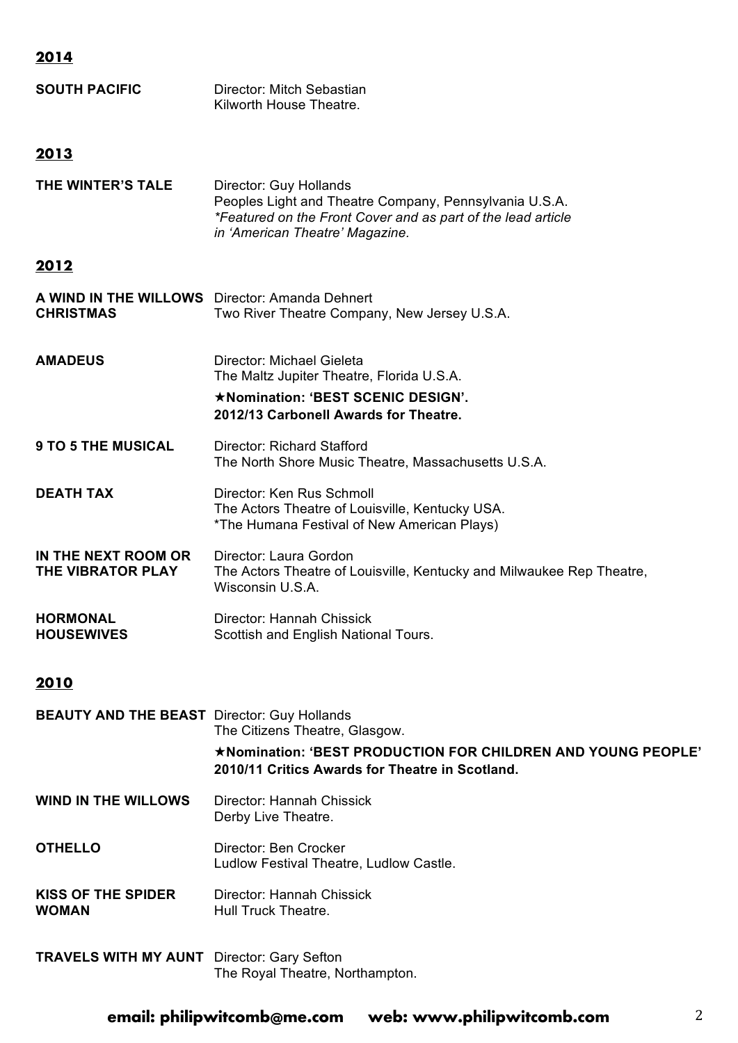### **2014**

| <b>SOUTH PACIFIC</b> | Director: Mitch Sebastian |
|----------------------|---------------------------|
|                      | Kilworth House Theatre.   |

#### **2013**

| THE WINTER'S TALE | Director: Guy Hollands                                       |
|-------------------|--------------------------------------------------------------|
|                   | Peoples Light and Theatre Company, Pennsylvania U.S.A.       |
|                   | *Featured on the Front Cover and as part of the lead article |
|                   | in 'American Theatre' Magazine.                              |

#### **2012**

| A WIND IN THE WILLOWS Director: Amanda Dehnert<br><b>CHRISTMAS</b> | Two River Theatre Company, New Jersey U.S.A.                                                                                |
|--------------------------------------------------------------------|-----------------------------------------------------------------------------------------------------------------------------|
| <b>AMADEUS</b>                                                     | Director: Michael Gieleta<br>The Maltz Jupiter Theatre, Florida U.S.A.<br>*Nomination: 'BEST SCENIC DESIGN'.                |
|                                                                    | 2012/13 Carbonell Awards for Theatre.                                                                                       |
| <b>9 TO 5 THE MUSICAL</b>                                          | Director: Richard Stafford<br>The North Shore Music Theatre, Massachusetts U.S.A.                                           |
| <b>DEATH TAX</b>                                                   | Director: Ken Rus Schmoll<br>The Actors Theatre of Louisville, Kentucky USA.<br>*The Humana Festival of New American Plays) |
| IN THE NEXT ROOM OR<br>THE VIBRATOR PLAY                           | Director: Laura Gordon<br>The Actors Theatre of Louisville, Kentucky and Milwaukee Rep Theatre,<br>Wisconsin U.S.A.         |
| <b>HORMONAL</b><br><b>HOUSEWIVES</b>                               | Director: Hannah Chissick<br>Scottish and English National Tours.                                                           |

#### **2010**

| <b>BEAUTY AND THE BEAST</b> Director: Guy Hollands | The Citizens Theatre, Glasgow.<br>★Nomination: 'BEST PRODUCTION FOR CHILDREN AND YOUNG PEOPLE'<br>2010/11 Critics Awards for Theatre in Scotland. |
|----------------------------------------------------|---------------------------------------------------------------------------------------------------------------------------------------------------|
| <b>WIND IN THE WILLOWS</b>                         | Director: Hannah Chissick<br>Derby Live Theatre.                                                                                                  |
| <b>OTHELLO</b>                                     | Director: Ben Crocker<br>Ludlow Festival Theatre, Ludlow Castle.                                                                                  |
| <b>KISS OF THE SPIDER</b><br><b>WOMAN</b>          | Director: Hannah Chissick<br>Hull Truck Theatre.                                                                                                  |
| <b>TRAVELS WITH MY AUNT</b> Director: Gary Sefton  | The Royal Theatre, Northampton.                                                                                                                   |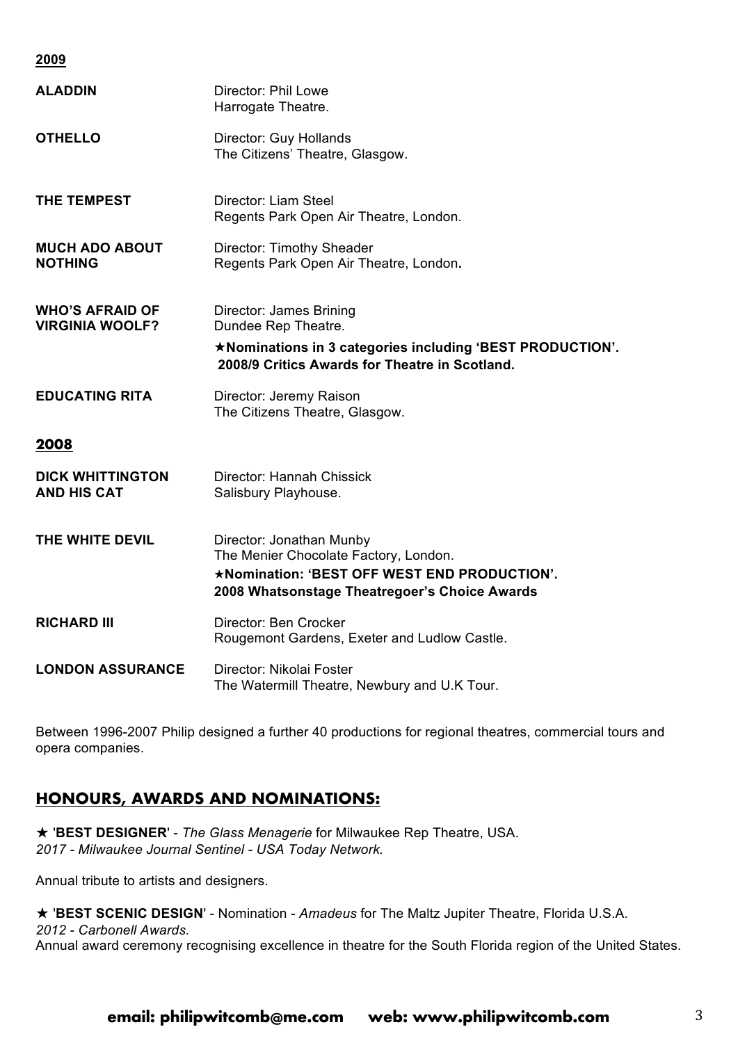**2009**

| <b>ALADDIN</b>                                   | Director: Phil Lowe<br>Harrogate Theatre.                                                                                                                          |
|--------------------------------------------------|--------------------------------------------------------------------------------------------------------------------------------------------------------------------|
| <b>OTHELLO</b>                                   | Director: Guy Hollands<br>The Citizens' Theatre, Glasgow.                                                                                                          |
| THE TEMPEST                                      | Director: Liam Steel<br>Regents Park Open Air Theatre, London.                                                                                                     |
| <b>MUCH ADO ABOUT</b><br><b>NOTHING</b>          | <b>Director: Timothy Sheader</b><br>Regents Park Open Air Theatre, London.                                                                                         |
| <b>WHO'S AFRAID OF</b><br><b>VIRGINIA WOOLF?</b> | <b>Director: James Brining</b><br>Dundee Rep Theatre.                                                                                                              |
|                                                  | *Nominations in 3 categories including 'BEST PRODUCTION'.<br>2008/9 Critics Awards for Theatre in Scotland.                                                        |
| <b>EDUCATING RITA</b>                            | Director: Jeremy Raison<br>The Citizens Theatre, Glasgow.                                                                                                          |
| 2008                                             |                                                                                                                                                                    |
| <b>DICK WHITTINGTON</b><br><b>AND HIS CAT</b>    | Director: Hannah Chissick<br>Salisbury Playhouse.                                                                                                                  |
| THE WHITE DEVIL                                  | Director: Jonathan Munby<br>The Menier Chocolate Factory, London.<br>*Nomination: 'BEST OFF WEST END PRODUCTION'.<br>2008 Whatsonstage Theatregoer's Choice Awards |
| <b>RICHARD III</b>                               | Director: Ben Crocker<br>Rougemont Gardens, Exeter and Ludlow Castle.                                                                                              |
| <b>LONDON ASSURANCE</b>                          | Director: Nikolai Foster<br>The Watermill Theatre, Newbury and U.K Tour.                                                                                           |

Between 1996-2007 Philip designed a further 40 productions for regional theatres, commercial tours and opera companies.

#### **HONOURS, AWARDS AND NOMINATIONS:**

★ '**BEST DESIGNER**' - *The Glass Menagerie* for Milwaukee Rep Theatre, USA. *2017 - Milwaukee Journal Sentinel - USA Today Network.*

Annual tribute to artists and designers.

★ '**BEST SCENIC DESIGN**' - Nomination - *Amadeus* for The Maltz Jupiter Theatre, Florida U.S.A. *2012 - Carbonell Awards.* Annual award ceremony recognising excellence in theatre for the South Florida region of the United States.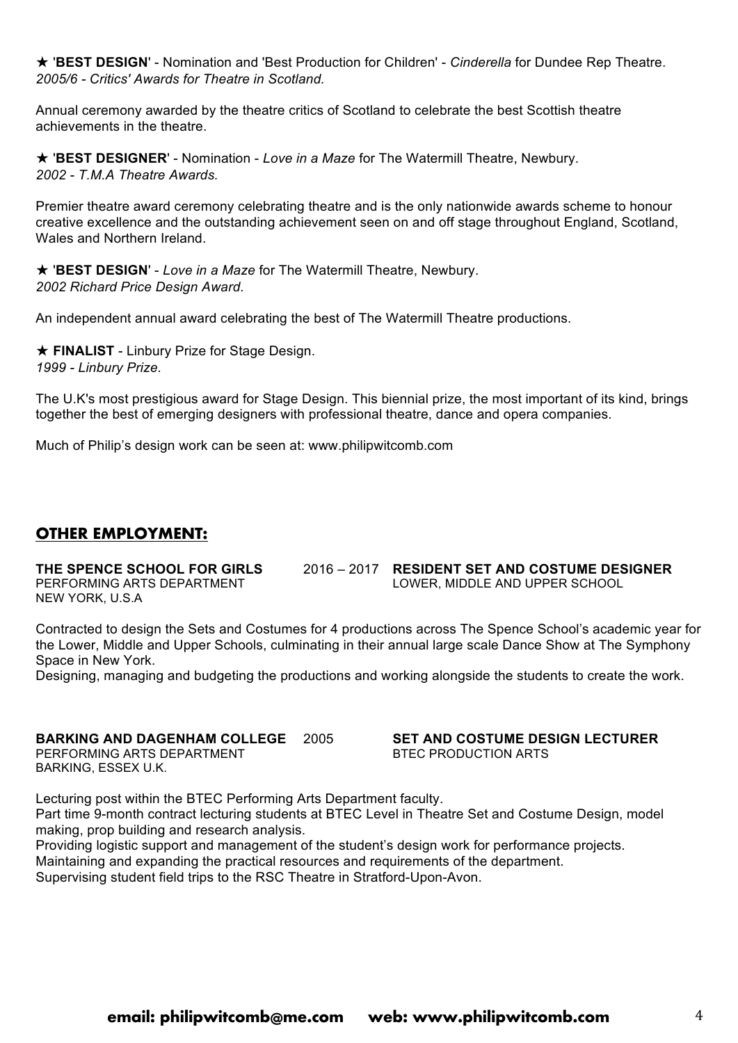★ '**BEST DESIGN**' - Nomination and 'Best Production for Children' - *Cinderella* for Dundee Rep Theatre. *2005/6 - Critics' Awards for Theatre in Scotland.*

Annual ceremony awarded by the theatre critics of Scotland to celebrate the best Scottish theatre achievements in the theatre.

★ '**BEST DESIGNER**' - Nomination - *Love in a Maze* for The Watermill Theatre, Newbury. *2002 - T.M.A Theatre Awards.*

Premier theatre award ceremony celebrating theatre and is the only nationwide awards scheme to honour creative excellence and the outstanding achievement seen on and off stage throughout England, Scotland, Wales and Northern Ireland.

★ '**BEST DESIGN**' - *Love in a Maze* for The Watermill Theatre, Newbury. *2002 Richard Price Design Award.*

An independent annual award celebrating the best of The Watermill Theatre productions.

★ **FINALIST** - Linbury Prize for Stage Design. *1999 - Linbury Prize.*

The U.K's most prestigious award for Stage Design. This biennial prize, the most important of its kind, brings together the best of emerging designers with professional theatre, dance and opera companies.

Much of Philip's design work can be seen at: www.philipwitcomb.com

#### **OTHER EMPLOYMENT:**

NEW YORK, U.S.A

**THE SPENCE SCHOOL FOR GIRLS** 2016 – 2017 **RESIDENT SET AND COSTUME DESIGNER** PERFORMING ARTS DEPARTMENT LOWER, MIDDLE AND UPPER SCHOOL

Contracted to design the Sets and Costumes for 4 productions across The Spence School's academic year for the Lower, Middle and Upper Schools, culminating in their annual large scale Dance Show at The Symphony Space in New York.

Designing, managing and budgeting the productions and working alongside the students to create the work.

#### **BARKING AND DAGENHAM COLLEGE** 2005 **SET AND COSTUME DESIGN LECTURER** PERFORMING ARTS DEPARTMENT BARKING, ESSEX U.K.

Lecturing post within the BTEC Performing Arts Department faculty. Part time 9-month contract lecturing students at BTEC Level in Theatre Set and Costume Design, model making, prop building and research analysis.

Providing logistic support and management of the student's design work for performance projects. Maintaining and expanding the practical resources and requirements of the department.

Supervising student field trips to the RSC Theatre in Stratford-Upon-Avon.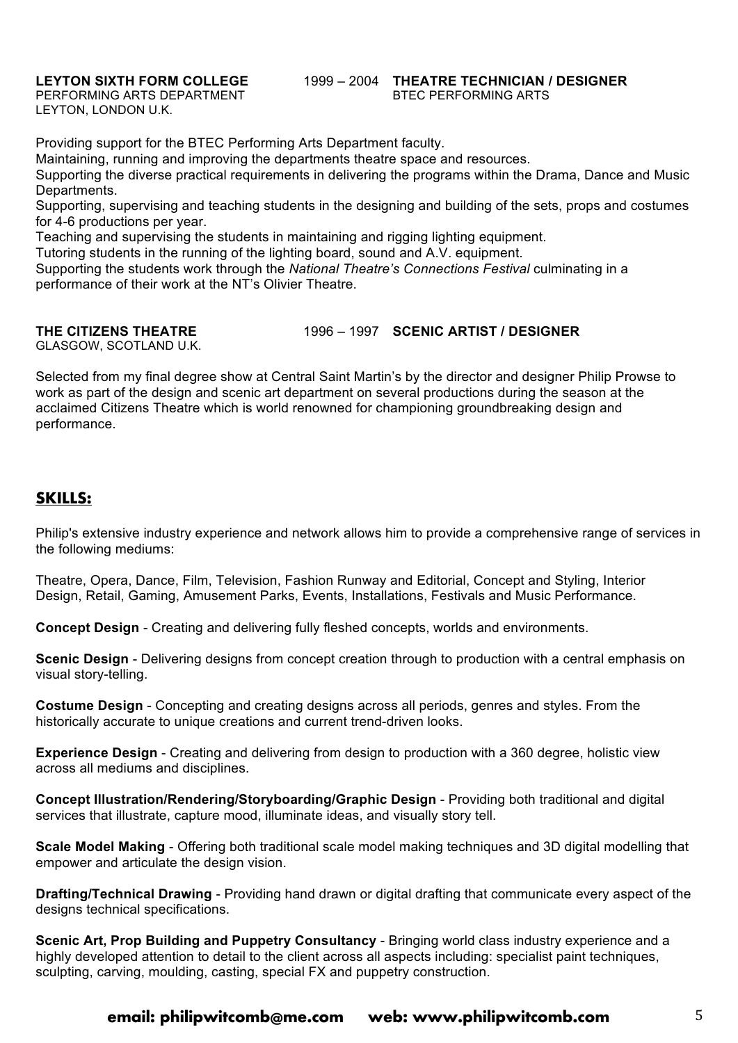PERFORMING ARTS DEPARTMENT LEYTON, LONDON U.K.

# **LEYTON SIXTH FORM COLLEGE** 1999 – 2004 **THEATRE TECHNICIAN / DESIGNER**

Providing support for the BTEC Performing Arts Department faculty.

Maintaining, running and improving the departments theatre space and resources.

Supporting the diverse practical requirements in delivering the programs within the Drama, Dance and Music Departments.

Supporting, supervising and teaching students in the designing and building of the sets, props and costumes for 4-6 productions per year.

Teaching and supervising the students in maintaining and rigging lighting equipment.

Tutoring students in the running of the lighting board, sound and A.V. equipment.

Supporting the students work through the *National Theatre's Connections Festival* culminating in a performance of their work at the NT's Olivier Theatre.

**THE CITIZENS THEATRE** 1996 – 1997 **SCENIC ARTIST / DESIGNER**

GLASGOW, SCOTLAND U.K.

Selected from my final degree show at Central Saint Martin's by the director and designer Philip Prowse to work as part of the design and scenic art department on several productions during the season at the acclaimed Citizens Theatre which is world renowned for championing groundbreaking design and performance.

#### **SKILLS:**

Philip's extensive industry experience and network allows him to provide a comprehensive range of services in the following mediums:

Theatre, Opera, Dance, Film, Television, Fashion Runway and Editorial, Concept and Styling, Interior Design, Retail, Gaming, Amusement Parks, Events, Installations, Festivals and Music Performance.

**Concept Design** - Creating and delivering fully fleshed concepts, worlds and environments.

**Scenic Design** - Delivering designs from concept creation through to production with a central emphasis on visual story-telling.

**Costume Design** - Concepting and creating designs across all periods, genres and styles. From the historically accurate to unique creations and current trend-driven looks.

**Experience Design** - Creating and delivering from design to production with a 360 degree, holistic view across all mediums and disciplines.

**Concept Illustration/Rendering/Storyboarding/Graphic Design** - Providing both traditional and digital services that illustrate, capture mood, illuminate ideas, and visually story tell.

**Scale Model Making** - Offering both traditional scale model making techniques and 3D digital modelling that empower and articulate the design vision.

**Drafting/Technical Drawing** - Providing hand drawn or digital drafting that communicate every aspect of the designs technical specifications.

**Scenic Art, Prop Building and Puppetry Consultancy** - Bringing world class industry experience and a highly developed attention to detail to the client across all aspects including: specialist paint techniques, sculpting, carving, moulding, casting, special FX and puppetry construction.